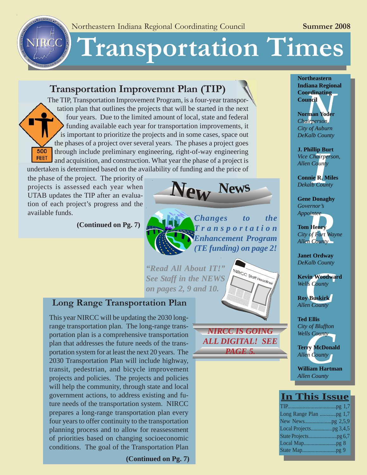# **Transportation Times**

# **[Transportation Improvemnt Plan \(TIP\)](http://www.nircc.com/short-range-planning.htm)**

The TIP, Transportation Improvement Program, is a four-year transportation plan that outlines the projects that will be started in the next four years. Due to the limited amount of local, state and federal funding available each year for transportation improvements, it is important to prioritize the projects and in some cases, space out the phases of a project over several years. The phases a project goes 500 through include preliminary engineering, right-of-way engineering FEET and acquisition, and construction. What year the phase of a project is undertaken is determined based on the availability of funding and the price of

the phase of the project. The priority of projects is assessed each year when UTAB updates the TIP after an evaluation of each project's progress and the available funds.

NIRGC NIRCC

**[\(Continued on Pg. 7\)](#page-6-0)**



# *Changes to the Transportation Enhancement Program (TE funding) on page 2!*

*"Read All About IT!" See Staff in the NEWS on pages 2, 9 and 10.*

# **[Long Range Transportation Plan](http://www.nircc.com/long-range-planning-2.htm)**

This year NIRCC will be updating the 2030 longrange transportation plan. The long-range transportation plan is a comprehensive transportation plan that addresses the future needs of the transportation system for at least the next 20 years. The 2030 Transportation Plan will include highway, transit, pedestrian, and bicycle improvement projects and policies. The projects and policies will help the community, through state and local government actions, to address existing and future needs of the transportation system. NIRCC prepares a long-range transportation plan every four years to offer continuity to the transportation planning process and to allow for reassessment of priorities based on changing socioeconomic conditions. The goal of the Transportation Plan



NIRCC Staff Headlines

**Northeastern Indiana Regional Council**

**Coordinating<br>Council<br>Norman Yoder**<br>*Chairperson,<br>City of Auburn* **Norman Yoder** *Chairperson, City of Auburn DeKalb County*

**Ilip Bu**<br>*Chairpei*<br>*County*<br>ie R. M<br>*b Coun* **J. Phillip Burt** *Vice Chairperson, Allen County*

**Connie R. Miles** *Dekalb County*

**Gene Donaghy** *Governor's Appointee*

*Reflection*<br>**Reflection**<br>**Reflection**<br>**Reflection**<br>**Reflection**<br>**Reflection**<br>**Reflection Tom Henry** *City of Fort Wayne Allen County*

**Janet Ordway** *DeKalb County*

**xin Woodwa**<br> *County*<br> **County**<br> **County**<br> **County Kevin Woodward** *Wells County*

**Roy Buskirk** *Allen County*

**Ted Ellis** *City of Bluffton Wells County*

*County*<br>*County*<br>**County**<br>**County**<br>**County**<br>**Iliam Hartm Terry McDonald** *Allen County*

**William Hartman** *Allen County*

# **In This Issue**

| Local Mappg 8 |  |
|---------------|--|
|               |  |
|               |  |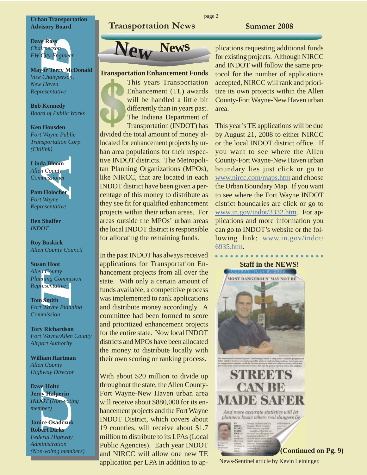#### **Urban Transportation Advisory Board**

#### **Dave Ross** *Chairperson FW City Engineer*

**Mayor Terry McDonald** *Vice Chairperson, New Haven Representative*

**Bob Kennedy** *Board of Public Works*

#### **Ken Housden** *Fort Wayne Public Transportation Corp. (Citilink)*



*Allen County Highway Director*

**Dave Holtz Jerry Halperin** *INDOT (Non-voting member)*

**Janice Osadczuk Robert Dirks** *Federal Highway Administration (Non-voitng members)*

# **Transportation News Summer 2008**



#### **Transportation Enhancement Funds**

This years Transportation Enhancement (TE) awards will be handled a little bit differently than in years past. The Indiana Department of Transportation (INDOT) has divided the total amount of money allocated for enhancement projects by urban area populations for their respective INDOT districts. The Metropolitan Planning Organizations (MPOs), like NIRCC, that are located in each INDOT district have been given a percentage of this money to distribute as they see fit for qualified enhancement projects within their urban areas. For areas outside the MPOs' urban areas the local INDOT district is responsible for allocating the remaining funds.

In the past INDOT has always received applications for Transportation Enhancement projects from all over the state. With only a certain amount of funds available, a competitive process was implemented to rank applications and distribute money accordingly. A committee had been formed to score and prioritized enhancement projects for the entire state. Now local INDOT districts and MPOs have been allocated the money to distribute locally with their own scoring or ranking process.

With about \$20 million to divide up throughout the state, the Allen County-Fort Wayne-New Haven urban area will receive about \$880,000 for its enhancement projects and the Fort Wayne INDOT District, which covers about 19 counties, will receive about \$1.7 million to distribute to its LPAs (Local Public Agencies). Each year INDOT and NIRCC will allow one new TE application per LPA in addition to ap- News-Sentinel article by Kevin Leininger.

plications requesting additional funds for existing projects. Although NIRCC and INDOT will follow the same protocol for the number of applications accepted, NIRCC will rank and prioritize its own projects within the Allen County-Fort Wayne-New Haven urban area.

This year's TE applications will be due by August 21, 2008 to either NIRCC or the local INDOT district office. If you want to see where the Allen County-Fort Wayne-New Haven urban boundary lies just click or go to [www.nircc.com/maps.htm](http://www.nircc.com/user/image/fortwayneurbanboundary.pdf) and choose the Urban Boundary Map. If you want to see where the Fort Wayne INDOT district boundaries are click or go to www.in.gov/indot/3332.htm. For applications and more information you can go to INDOT's website or the following link: [www.in.gov/indot/](http://www.in.gov/indot/6935.htm) 6935.htm.

○○○○○○○○○○○○○○○○ ○○○○○○

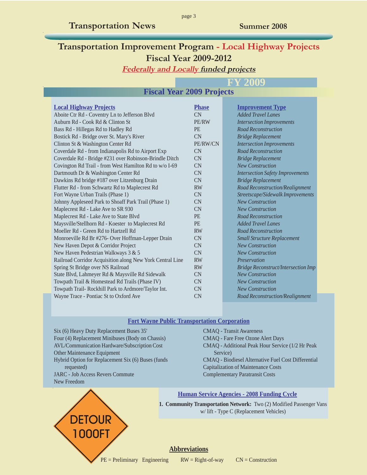# **Transportation Improvement Program - Local Highway Projects Fiscal Year 2009-2012**

page 3

**Federally and Locally funded projects**

# **FY 2009**

#### **Fiscal Year 2009 Projects**

| <b>Local Highway Projects</b>                             | <b>Phase</b> | <b>Improvement Type</b>                    |
|-----------------------------------------------------------|--------------|--------------------------------------------|
| Aboite Ctr Rd - Coventry Ln to Jefferson Blvd             | CN           | <b>Added Travel Lanes</b>                  |
| Auburn Rd - Cook Rd & Clinton St                          | PE/RW        | <b>Intersection Improvements</b>           |
| Bass Rd - Hillegas Rd to Hadley Rd                        | <b>PE</b>    | <b>Road Reconstruction</b>                 |
| Bostick Rd - Bridge over St. Mary's River                 | CN           | <b>Bridge Replacement</b>                  |
| Clinton St & Washington Center Rd                         | PE/RW/CN     | <b>Intersection Improvements</b>           |
| Coverdale Rd - from Indianapolis Rd to Airport Exp        | <b>CN</b>    | <b>Road Reconstruction</b>                 |
| Coverdale Rd - Bridge #231 over Robinson-Brindle Ditch    | <b>CN</b>    | <b>Bridge Replacement</b>                  |
| Covington Rd Trail - from West Hamilton Rd to w/o I-69    | <b>CN</b>    | <b>New Construction</b>                    |
| Dartmouth Dr & Washington Center Rd                       | <b>CN</b>    | <b>Intersection Safety Improvements</b>    |
| Dawkins Rd bridge #187 over Litzenburg Drain              | CN           | <b>Bridge Replacement</b>                  |
| Flutter Rd - from Schwartz Rd to Maplecrest Rd            | <b>RW</b>    | Road Reconstruction/Realignment            |
| Fort Wayne Urban Trails (Phase 1)                         | CN           | Streetscape/Sidewalk Improvements          |
| Johnny Appleseed Park to Shoaff Park Trail (Phase 1)      | <b>CN</b>    | <b>New Construction</b>                    |
| Maplecrest Rd - Lake Ave to SR 930                        | CN           | <b>New Construction</b>                    |
| Maplecrest Rd - Lake Ave to State Blvd                    | <b>PE</b>    | <b>Road Reconstruction</b>                 |
| Maysville/Stellhorn Rd - Koester to Maplecrest Rd         | <b>PE</b>    | <b>Added Travel Lanes</b>                  |
| Moeller Rd - Green Rd to Hartzell Rd                      | <b>RW</b>    | <b>Road Reconstruction</b>                 |
| Monroeville Rd Br #276- Over Hoffman-Lepper Drain         | CN           | <b>Small Structure Replacement</b>         |
| New Haven Depot & Corridor Project                        | CN           | <b>New Construction</b>                    |
| New Haven Pedestrian Walkways 3 & 5                       | CN           | <b>New Construction</b>                    |
| Railroad Corridor Acquisition along New York Central Line | <b>RW</b>    | Preservation                               |
| Spring St Bridge over NS Railroad                         | <b>RW</b>    | <b>Bridge Reconstruct/Intersection Imp</b> |
| State Blvd, Lahmeyer Rd & Maysville Rd Sidewalk           | <b>CN</b>    | <b>New Construction</b>                    |
| Towpath Trail & Homestead Rd Trails (Phase IV)            | CN           | <b>New Construction</b>                    |
| Towpath Trail-Rockhill Park to Ardmore/Taylor Int.        | <b>CN</b>    | <b>New Construction</b>                    |
| Wayne Trace - Pontiac St to Oxford Ave                    | <b>CN</b>    | Road Reconstruction/Realignment            |

#### **Fort Wayne Public Transportation Corporation**

Six (6) Heavy Duty Replacement Buses 35' Four (4) Replacement Minibuses (Body on Chassis) AVL/Communication Hardware/Subscription Cost Other Maintenance Equipment Hybrid Option for Replacement Six (6) Buses (funds requested) JARC - Job Access Revers Commute New Freedom

CMAQ - Transit Awareness CMAQ - Fare Free Ozone Alert Days CMAQ - Additional Peak Hour Service (1/2 Hr Peak Service) CMAQ - Biodiesel Alternative Fuel Cost Differential Capitalization of Maintenance Costs Complementary Paratransit Costs



#### **Human Service Agencies - 2008 Funding Cycle**

**1. Community Transportation Network:** Two (2) Modified Passenger Vans w/ lift - Type C (Replacement Vehicles)

#### **Abbreviations**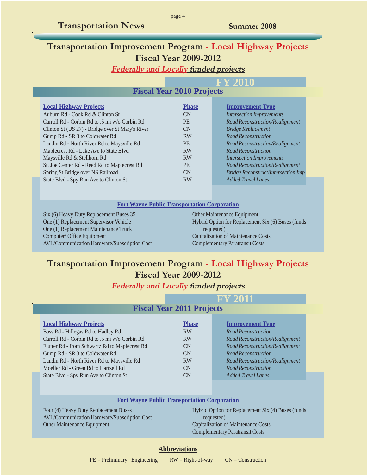# **Transportation Improvement Program - Local Highway Projects Fiscal Year 2009-2012**

page 4

**Federally and Locally funded projects**

#### **Fiscal Year 2010 Projects FY 2010**

| <b>Local Highway Projects</b>                    | <b>Phase</b> | <b>Improvement Type</b>                    |
|--------------------------------------------------|--------------|--------------------------------------------|
| Auburn Rd - Cook Rd & Clinton St                 | CN           | <b>Intersection Improvements</b>           |
| Carroll Rd - Corbin Rd to .5 mi w/o Corbin Rd    | PE.          | Road Reconstruction/Realignment            |
| Clinton St (US 27) - Bridge over St Mary's River | CN           | <b>Bridge Replacement</b>                  |
| Gump Rd - SR 3 to Coldwater Rd                   | <b>RW</b>    | <b>Road Reconstruction</b>                 |
| Landin Rd - North River Rd to Maysville Rd       | <b>PE</b>    | Road Reconstruction/Realignment            |
| Maplecrest Rd - Lake Ave to State Blvd           | <b>RW</b>    | <b>Road Reconstruction</b>                 |
| Maysville Rd & Stellhorn Rd                      | <b>RW</b>    | <b>Intersection Improvements</b>           |
| St. Joe Center Rd - Reed Rd to Maplecrest Rd     | <b>PE</b>    | Road Reconstruction/Realignment            |
| Spring St Bridge over NS Railroad                | CN.          | <b>Bridge Reconstruct/Intersection Imp</b> |
| State Blvd - Spy Run Ave to Clinton St           | <b>RW</b>    | <b>Added Travel Lanes</b>                  |

#### **Fort Wayne Public Transportation Corporation**

Six (6) Heavy Duty Replacement Buses 35' One (1) Replacement Supervisor Vehicle One (1) Replacement Maintenance Truck Computer/ Office Equipment AVL/Communication Hardware/Subscription Cost

#### Other Maintenance Equipment Hybrid Option for Replacement Six (6) Buses (funds requested) Capitalization of Maintenance Costs Complementary Paratransit Costs

# **Transportation Improvement Program - Local Highway Projects Fiscal Year 2009-2012**

**Federally and Locally funded projects**

|                                                | <b>FY 2011</b>                   |                                 |  |
|------------------------------------------------|----------------------------------|---------------------------------|--|
|                                                | <b>Fiscal Year 2011 Projects</b> |                                 |  |
| <b>Local Highway Projects</b>                  | <b>Phase</b>                     | <b>Improvement Type</b>         |  |
| Bass Rd - Hillegas Rd to Hadley Rd             | <b>RW</b>                        | <b>Road Reconstruction</b>      |  |
| Carroll Rd - Corbin Rd to .5 mi w/o Corbin Rd  | <b>RW</b>                        | Road Reconstruction/Realignment |  |
| Flutter Rd - from Schwartz Rd to Maplecrest Rd | CN                               | Road Reconstruction/Realignment |  |
| Gump Rd - SR 3 to Coldwater Rd                 | CN                               | <b>Road Reconstruction</b>      |  |
| Landin Rd - North River Rd to Maysville Rd     | <b>RW</b>                        | Road Reconstruction/Realignment |  |
| Moeller Rd - Green Rd to Hartzell Rd           | CN                               | <b>Road Reconstruction</b>      |  |
| State Blvd - Spy Run Ave to Clinton St         | CN                               | <b>Added Travel Lanes</b>       |  |
|                                                |                                  |                                 |  |

#### **Fort Wayne Public Transportation Corporation**

Four (4) Heavy Duty Replacement Buses AVL/Communication Hardware/Subscription Cost Other Maintenance Equipment

Hybrid Option for Replacement Six (4) Buses (funds requested) Capitalization of Maintenance Costs Complementary Paratransit Costs

#### **Abbreviations**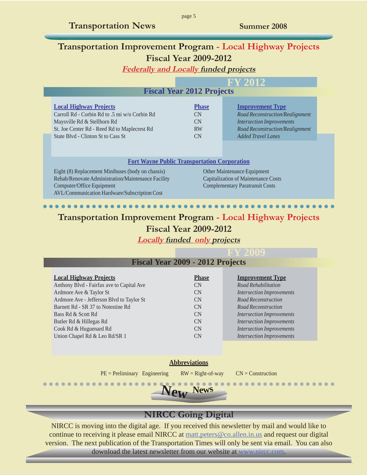# <span id="page-4-0"></span>**Transportation Improvement Program - Local Highway Projects Fiscal Year 2009-2012**

**Federally and Locally funded projects**

|                                                                                                                                                                                                     |                                             | <b>FY 2012</b>                                                                                                                                                 |
|-----------------------------------------------------------------------------------------------------------------------------------------------------------------------------------------------------|---------------------------------------------|----------------------------------------------------------------------------------------------------------------------------------------------------------------|
|                                                                                                                                                                                                     | <b>Fiscal Year 2012 Projects</b>            |                                                                                                                                                                |
| <b>Local Highway Projects</b><br>Carroll Rd - Corbin Rd to .5 mi w/o Corbin Rd<br>Maysville Rd & Stellhorn Rd<br>St. Joe Center Rd - Reed Rd to Maplecrest Rd<br>State Blvd - Clinton St to Cass St | <b>Phase</b><br>CN<br>CN<br><b>RW</b><br>CN | <b>Improvement Type</b><br>Road Reconstruction/Realignment<br><b>Intersection Improvements</b><br>Road Reconstruction/Realignment<br><b>Added Travel Lanes</b> |
| <b>Fort Wayne Public Transportation Corporation</b>                                                                                                                                                 |                                             |                                                                                                                                                                |
| Eight (8) Replacement Minibuses (body on chassis)<br>Rehab/Renovate Administration/Maintenance Facility<br>Computer/Office Equipment<br>AVL/Communication Hardware/Subscription Cost                |                                             | Other Maintenance Equipment<br><b>Capitalization of Maintenance Costs</b><br><b>Complementary Paratransit Costs</b>                                            |

# **Transportation Improvement Program - Local Highway Projects Fiscal Year 2009-2012**

○○○○○○○○○○ ○○○○○○○○○○○○○○○○○○○○○○○○○○○○○○○○○○○○○○

**Locally funded only projects**

| <b>Fiscal Year 2009 - 2012 Projects</b>   |              |                                  |
|-------------------------------------------|--------------|----------------------------------|
| <b>Local Highway Projects</b>             | <b>Phase</b> | <b>Improvement Type</b>          |
| Anthony Blvd - Fairfax ave to Capital Ave | <b>CN</b>    | Road Rehabilitation              |
| Ardmore Ave & Taylor St                   | CN.          | <b>Intersection Improvements</b> |
| Ardmore Ave - Jefferson Blvd to Taylor St | CN.          | Road Reconstruction              |
| Barnett Rd - SR 37 to Notestine Rd        | CN           | Road Reconstruction              |
| Bass Rd & Scott Rd                        | CN           | <b>Intersection Improvements</b> |
| Butler Rd & Hillegas Rd                   | <b>CN</b>    | <b>Intersection Improvements</b> |
| Cook Rd & Huguenard Rd                    | <b>CN</b>    | <b>Intersection Improvements</b> |
| Union Chapel Rd & Leo Rd/SR 1             | CN           | <b>Intersection Improvements</b> |

#### **Abbreviations**

 $PE = Preliminary$  Engineering  $RW = Right-of-way$   $CN = Construction$ 



# **NIRCC Going Digital**

NIRCC is moving into the digital age. If you received this newsletter by mail and would like to continue to receiving it please email NIRCC at matt.peters @co.allen.in.us and request our digital version. The next publication of the Transportation Times will only be sent via email. You can also download the latest newsletter from our website at www.nircc.com.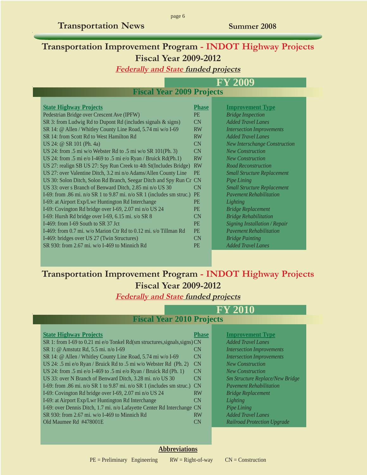# **Transportation Improvement Program - INDOT Highway Projects Fiscal Year 2009-2012**

page 6

### **Federally and State funded projects**

# **FY 2009**

# **Fiscal Year 2009 Projects**

| <b>State Highway Projects</b>                                             | <b>Phase</b> | <b>Improvement Type</b>              |
|---------------------------------------------------------------------------|--------------|--------------------------------------|
| Pedestrian Bridge over Crescent Ave (IPFW)                                | <b>PE</b>    | <b>Bridge Inspection</b>             |
| SR 3: from Ludwig Rd to Dupont Rd (includes signals & signs)              | CN           | <b>Added Travel Lanes</b>            |
| SR 14: @ Allen / Whitley County Line Road, 5.74 mi w/o I-69               | <b>RW</b>    | <b>Intersection Improvements</b>     |
| SR 14: from Scott Rd to West Hamilton Rd                                  | <b>RW</b>    | <b>Added Travel Lanes</b>            |
| US 24: @ SR 101 (Ph. 4a)                                                  | <b>CN</b>    | <b>New Interschange Construction</b> |
| US 24: from .5 mi w/o Webster Rd to .5 mi w/o SR 101(Ph. 3)               | CN           | <b>New Construction</b>              |
| US 24: from .5 mi $e$ /o I-469 to .5 mi $e$ /o Ryan / Bruick Rd(Ph.1)     | <b>RW</b>    | <b>New Construction</b>              |
| US 27: realign SB US 27: Spy Run Creek to 4th St(Includes Bridge)         | <b>RW</b>    | <b>Road Reconstruction</b>           |
| US 27: over Valentine Ditch, 3.2 mi n/o Adams/Allen County Line           | <b>PE</b>    | <b>Small Structure Replacement</b>   |
| US 30: Solon Ditch, Solon Rd Branch, Seegar Ditch and Spy Run Cr CN       |              | Pipe Lining                          |
| US 33: over s Branch of Benward Ditch, 2.85 mi n/o US 30                  | CN           | <b>Small Structure Replacement</b>   |
| I-69: from .86 mi. $n/o$ SR 1 to 9.87 mi. $n/o$ SR 1 (includes sm struc.) | <b>PE</b>    | <b>Pavement Rehabilitation</b>       |
| I-69: at Airport Exp/Lwr Huntington Rd Interchange                        | <b>PE</b>    | Lighting                             |
| I-69: Covington Rd bridge over I-69, 2.07 mi n/o US 24                    | <b>PE</b>    | <b>Bridge Replacement</b>            |
| I-69: Hursh Rd bridge over I-69, 6.15 mi. s/o SR 8                        | <b>CN</b>    | <b>Bridge Rehabilitation</b>         |
| I-469: from I-69 South to SR 37 Jct                                       | <b>PE</b>    | Signing Installation / Repair        |
| I-469: from 0.7 mi. w/o Marion Ctr Rd to 0.12 mi. s/o Tillman Rd          | <b>PE</b>    | <b>Pavement Rehabilitation</b>       |
| I-469: bridges over US 27 (Twin Structures)                               | CN           | <b>Bridge Painting</b>               |
| SR 930: from 2.67 mi. $w/o$ I-469 to Minnich Rd                           | <b>PE</b>    | <b>Added Travel Lanes</b>            |
|                                                                           |              |                                      |

# **Transportation Improvement Program - INDOT Highway Projects Fiscal Year 2009-2012**

#### **Federally and State funded projects**

# **FY 2010 Fiscal Year 2010 Projects**

| <b>State Highway Projects</b>                                              | Phase     | <b>Improvement Type</b>            |
|----------------------------------------------------------------------------|-----------|------------------------------------|
| SR 1: from I-69 to 0.21 mi e/o Tonkel Rd(sm structures, signals, signs) CN |           | <b>Added Travel Lanes</b>          |
| SR 1: @ Amstutz Rd, 5.5 mi. n/o I-69                                       | CN.       | <b>Intersection Improvements</b>   |
| SR 14: @ Allen / Whitley County Line Road, 5.74 mi w/o I-69                | <b>CN</b> | <b>Intersection Improvements</b>   |
| US 24: .5 mi e/o Ryan / Bruick Rd to .5 mi w/o Webster Rd (Ph. 2)          | <b>CN</b> | <b>New Construction</b>            |
| US 24: from .5 mi e/o I-469 to .5 mi e/o Ryan / Bruick Rd (Ph. 1)          | <b>CN</b> | <b>New Construction</b>            |
| US 33: over N Branch of Benward Ditch, 3.28 mi. n/o US 30                  | CN        | Sm Structure Replace/New Bridge    |
| I-69: from .86 mi. n/o SR 1 to 9.87 mi. n/o SR 1 (includes sm struc.) CN   |           | <b>Pavement Rehabilitation</b>     |
| I-69: Covington Rd bridge over I-69, 2.07 mi n/o US 24                     | <b>RW</b> | <b>Bridge Replacement</b>          |
| I-69: at Airport Exp/Lwr Huntington Rd Interchange                         | CN.       | Lighting                           |
| I-69: over Dennis Ditch, 1.7 mi. n/o Lafayette Center Rd Interchange CN    |           | Pipe Lining                        |
| SR 930: from 2.67 mi. $w/o$ I-469 to Minnich Rd                            | <b>RW</b> | <b>Added Travel Lanes</b>          |
| Old Maumee Rd #478001E                                                     | CN.       | <b>Railroad Protection Upgrade</b> |
|                                                                            |           |                                    |

| <b>Improvement Type</b>                |
|----------------------------------------|
| <b>Added Travel Lanes</b>              |
| <b>Intersection Improvements</b>       |
| <b>Intersection Improvements</b>       |
| <b>New Construction</b>                |
| <b>New Construction</b>                |
| <b>Sm Structure Replace/New Bridge</b> |
| <b>Payement Rehabilitation</b>         |
| <b>Bridge Replacement</b>              |
| Lighting                               |
| Pipe Lining                            |
| <b>Added Travel Lanes</b>              |
|                                        |

#### **Railroad Protection Upgrade**

#### **Abbreviations**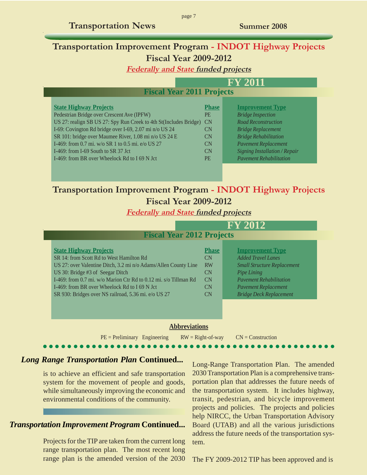# <span id="page-6-0"></span>**Transportation Improvement Program - INDOT Highway Projects Fiscal Year 2009-2012**

**Federally and State funded projects**

#### **FY 2011**

# **Fiscal Year 2011 Projects**

| <b>State Highway Projects</b>                                     | <b>Phase</b>   | <b>Improvement Type</b>              |
|-------------------------------------------------------------------|----------------|--------------------------------------|
| Pedestrian Bridge over Crescent Ave (IPFW)                        | <b>PE</b>      | <b>Bridge Inspection</b>             |
| US 27: realign SB US 27: Spy Run Creek to 4th St(Includes Bridge) | <b>CN</b>      | <b>Road Reconstruction</b>           |
| I-69: Covington Rd bridge over I-69, 2.07 mi n/o US 24            | CN             | <b>Bridge Replacement</b>            |
| SR 101: bridge over Maumee River, 1.08 mi n/o US 24 E             | CN.            | <b>Bridge Rehabilitation</b>         |
| I-469: from 0.7 mi. w/o SR 1 to 0.5 mi. e/o US 27                 | CN             | <b>Pavement Replacement</b>          |
| I-469: from I-69 South to SR 37 Jct                               | <b>CN</b>      | <b>Signing Installation / Repair</b> |
| I-469: from BR over Wheelock Rd to I 69 N Jct                     | P <sub>E</sub> | <b>Pavement Rehabilitation</b>       |
|                                                                   |                |                                      |

# **Transportation Improvement Program - INDOT Highway Projects Fiscal Year 2009-2012**

**Federally and State funded projects**

| <b>Fiscal Year 2012 Projects</b>                                                                                                                                                                                                                                                                                                                              |                                                         | <b>FY 2012</b>                                                                                                                                                                                               |
|---------------------------------------------------------------------------------------------------------------------------------------------------------------------------------------------------------------------------------------------------------------------------------------------------------------------------------------------------------------|---------------------------------------------------------|--------------------------------------------------------------------------------------------------------------------------------------------------------------------------------------------------------------|
| <b>State Highway Projects</b><br>SR 14: from Scott Rd to West Hamilton Rd<br>US 27: over Valentine Ditch, 3.2 mi n/o Adams/Allen County Line<br>US 30: Bridge #3 of Seegar Ditch<br>I-469: from 0.7 mi. w/o Marion Ctr Rd to 0.12 mi. s/o Tillman Rd<br>I-469: from BR over Wheelock Rd to I 69 N Jct<br>SR 930: Bridges over NS railroad, 5.36 mi. e/o US 27 | <b>Phase</b><br>CN<br><b>RW</b><br>CN<br>CN<br>CN<br>CN | <b>Improvement Type</b><br><b>Added Travel Lanes</b><br><b>Small Structure Replacement</b><br>Pipe Lining<br><b>Payement Rehabilitation</b><br><b>Pavement Replacement</b><br><b>Bridge Deck Replacement</b> |
| <b>Abbreviations</b><br>$PE = Preliminary$ Engineering                                                                                                                                                                                                                                                                                                        | $RW = Right-of-way$                                     | $CN = Construction$                                                                                                                                                                                          |

○○○○○○○○○○ ○○○○○○○○○○○○○○○○○○○○○○○○○○○○○○○○○○○○○○

#### *Long Range Transportation Plan* **Continued...**

is to achieve an efficient and safe transportation system for the movement of people and goods, while simultaneously improving the economic and environmental conditions of the community.

# *Transportation Improvement Program Continued...*

Projects for the TIP are taken from the current long range transportation plan. The most recent long range plan is the amended version of the 2030 Long-Range Transportation Plan. The amended 2030 Transportation Plan is a comprehensive transportation plan that addresses the future needs of the transportation system. It includes highway, transit, pedestrian, and bicycle improvement projects and policies. The projects and policies help NIRCC, the Urban Transportation Advisory Board (UTAB) and all the various jurisdictions address the future needs of the transportation system.

The FY 2009-2012 TIP has been approved and is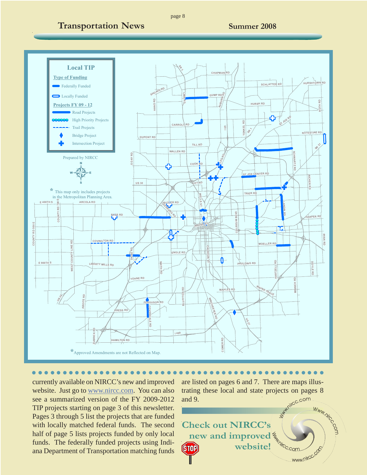

○○○○○○○○○○ ○○○○○○○○○○○○○○○○○○○○○○○○○○○○○○○○○○○○○○

currently available on NIRCC's new and improved website. Just go to www.nircc.com. You can also see a summarized version of the FY 2009-2012 TIP projects starting on page 3 of this newsletter. Pages 3 through 5 list the projects that are funded with locally matched federal funds. The second half of page 5 lists projects funded by only local funds. The federally funded projects using Indiana Department of Transportation matching funds

are listed on pages 6 and 7. There are maps illustrating these local and state projects on pages 8 and 9.

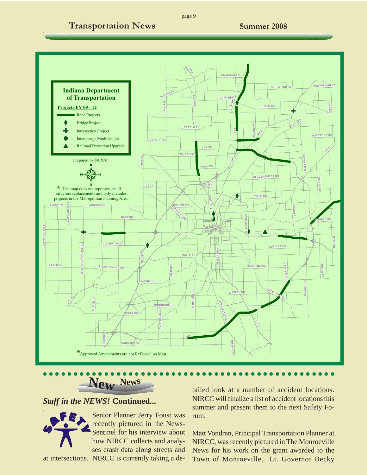<span id="page-8-0"></span>

page 9

# ○○○○○○○○○○ ○○○○○○○○○○○○○○○○○○○○○○○○○○○○○○○○○○○○○○ **Ne<sup>w</sup> <sup>N</sup>ew<sup>s</sup>**

#### *Staff in the NEWS!* **Continued...**



Senior Planner Jerry Foust was recently pictured in the News-Sentinel for his interview about how NIRCC collects and analyses crash data along streets and at intersections. NIRCC is currently taking a de-

tailed look at a number of accident locations. NIRCC will finalize a list of accident locations this summer and present them to the next Safety Forum.

Matt Vondran, Principal Transportation Planner at NIRCC, was recently pictured in The Monroeville News for his work on the grant awarded to the Town of Monroeville. Lt. Governor Becky